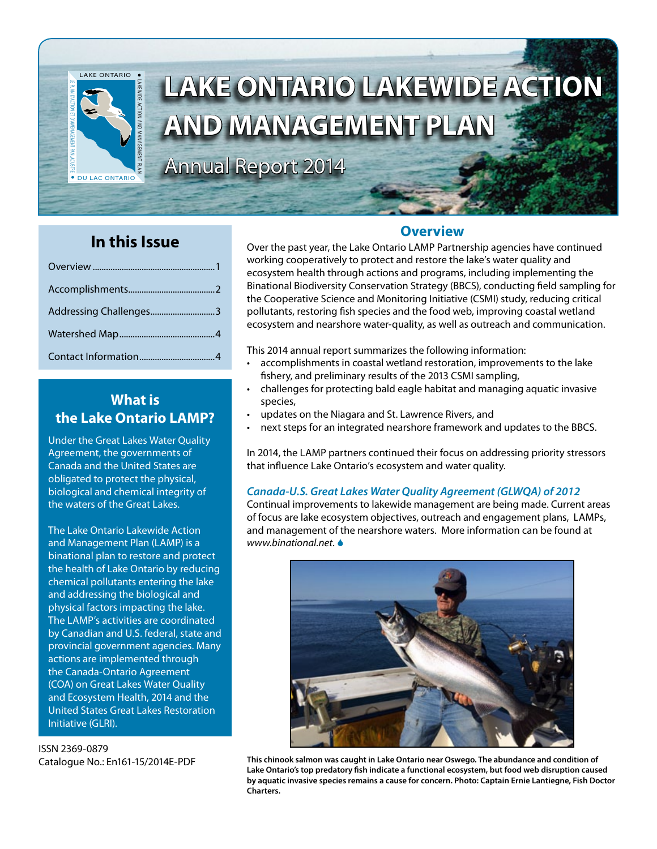

# **LAKE ONTARIO LAKEWIDE ACTION AND MANAGEMENT PLAN**

Annual Report 2014

# **In this Issue**

| Addressing Challenges3 |  |
|------------------------|--|
|                        |  |
|                        |  |

# **What is the Lake Ontario LAMP?**

Under the Great Lakes Water Quality Agreement, the governments of Canada and the United States are obligated to protect the physical, biological and chemical integrity of the waters of the Great Lakes.

The Lake Ontario Lakewide Action and Management Plan (LAMP) is a binational plan to restore and protect the health of Lake Ontario by reducing chemical pollutants entering the lake and addressing the biological and physical factors impacting the lake. The LAMP's activities are coordinated by Canadian and U.S. federal, state and provincial government agencies. Many actions are implemented through the Canada-Ontario Agreement (COA) on Great Lakes Water Quality and Ecosystem Health, 2014 and the United States Great Lakes Restoration Initiative (GLRI).

ISSN 2369-0879 Catalogue No.: En161-15/2014E-PDF

## **Overview**

Over the past year, the Lake Ontario LAMP Partnership agencies have continued working cooperatively to protect and restore the lake's water quality and ecosystem health through actions and programs, including implementing the Binational Biodiversity Conservation Strategy (BBCS), conducting field sampling for the Cooperative Science and Monitoring Initiative (CSMI) study, reducing critical pollutants, restoring fish species and the food web, improving coastal wetland ecosystem and nearshore water-quality, as well as outreach and communication.

This 2014 annual report summarizes the following information:

- • accomplishments in coastal wetland restoration, improvements to the lake fishery, and preliminary results of the 2013 CSMI sampling,
- challenges for protecting bald eagle habitat and managing aquatic invasive species,
- updates on the Niagara and St. Lawrence Rivers, and
- next steps for an integrated nearshore framework and updates to the BBCS.

In 2014, the LAMP partners continued their focus on addressing priority stressors that influence Lake Ontario's ecosystem and water quality.

#### *Canada-U.S. Great Lakes Water Quality Agreement (GLWQA) of 2012*

Continual improvements to lakewide management are being made. Current areas of focus are lake ecosystem objectives, outreach and engagement plans, LAMPs, and management of the nearshore waters. More information can be found at *[www.binational.net](http://www.binational.net)*.



**This chinook salmon was caught in Lake Ontario near Oswego. The abundance and condition of Lake Ontario's top predatory fish indicate a functional ecosystem, but food web disruption caused by aquatic invasive species remains a cause for concern. Photo: Captain Ernie Lantiegne, Fish Doctor Charters.**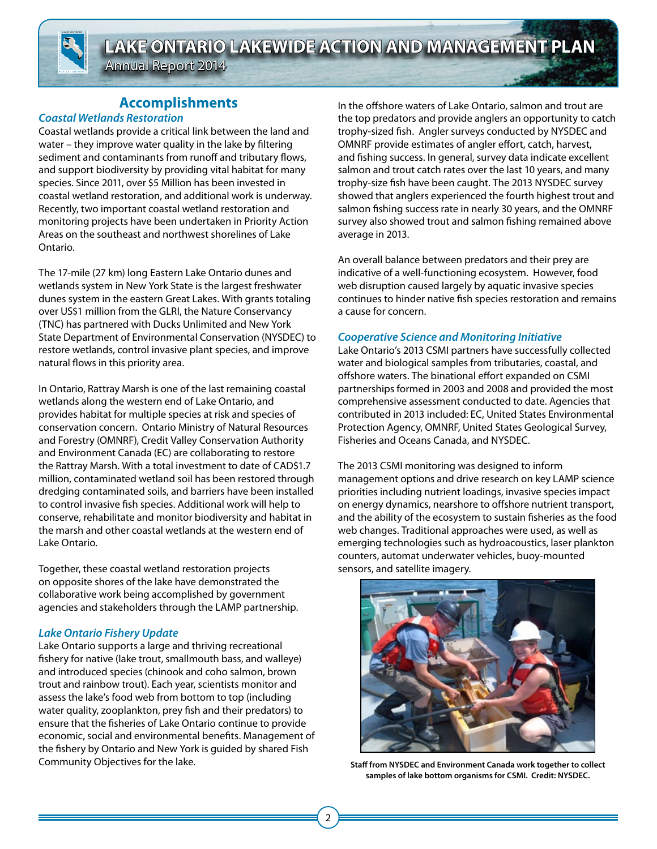LAKEWIDE ACTION AND MANAGEMENT PLAN LE PLAN D'AC TION E T D'AMÈNAGEMENT PANLACUSTRE DU LAC ONTARIO

LAKE ONTARIO

Annual Report 2014

# **Accomplishments**

#### *Coastal Wetlands Restoration*

Coastal wetlands provide a critical link between the land and water – they improve water quality in the lake by filtering sediment and contaminants from runoff and tributary flows, and support biodiversity by providing vital habitat for many species. Since 2011, over \$5 Million has been invested in coastal wetland restoration, and additional work is underway. Recently, two important coastal wetland restoration and monitoring projects have been undertaken in Priority Action Areas on the southeast and northwest shorelines of Lake Ontario.

The 17-mile (27 km) long Eastern Lake Ontario dunes and wetlands system in New York State is the largest freshwater dunes system in the eastern Great Lakes. With grants totaling over US\$1 million from the GLRI, the Nature Conservancy (TNC) has partnered with Ducks Unlimited and New York State Department of Environmental Conservation (NYSDEC) to restore wetlands, control invasive plant species, and improve natural flows in this priority area.

In Ontario, Rattray Marsh is one of the last remaining coastal wetlands along the western end of Lake Ontario, and provides habitat for multiple species at risk and species of conservation concern. Ontario Ministry of Natural Resources and Forestry (OMNRF), Credit Valley Conservation Authority and Environment Canada (EC) are collaborating to restore the Rattray Marsh. With a total investment to date of CAD\$1.7 million, contaminated wetland soil has been restored through dredging contaminated soils, and barriers have been installed to control invasive fish species. Additional work will help to conserve, rehabilitate and monitor biodiversity and habitat in the marsh and other coastal wetlands at the western end of Lake Ontario.

Together, these coastal wetland restoration projects on opposite shores of the lake have demonstrated the collaborative work being accomplished by government agencies and stakeholders through the LAMP partnership.

#### *Lake Ontario Fishery Update*

Lake Ontario supports a large and thriving recreational fishery for native (lake trout, smallmouth bass, and walleye) and introduced species (chinook and coho salmon, brown trout and rainbow trout). Each year, scientists monitor and assess the lake's food web from bottom to top (including water quality, zooplankton, prey fish and their predators) to ensure that the fisheries of Lake Ontario continue to provide economic, social and environmental benefits. Management of the fishery by Ontario and New York is guided by shared Fish Community Objectives for the lake.

In the offshore waters of Lake Ontario, salmon and trout are the top predators and provide anglers an opportunity to catch trophy-sized fish. Angler surveys conducted by NYSDEC and OMNRF provide estimates of angler effort, catch, harvest, and fishing success. In general, survey data indicate excellent salmon and trout catch rates over the last 10 years, and many trophy-size fish have been caught. The 2013 NYSDEC survey showed that anglers experienced the fourth highest trout and salmon fishing success rate in nearly 30 years, and the OMNRF survey also showed trout and salmon fishing remained above average in 2013.

An overall balance between predators and their prey are indicative of a well-functioning ecosystem. However, food web disruption caused largely by aquatic invasive species continues to hinder native fish species restoration and remains a cause for concern.

#### *Cooperative Science and Monitoring Initiative*

Lake Ontario's 2013 CSMI partners have successfully collected water and biological samples from tributaries, coastal, and offshore waters. The binational effort expanded on CSMI partnerships formed in 2003 and 2008 and provided the most comprehensive assessment conducted to date. Agencies that contributed in 2013 included: EC, United States Environmental Protection Agency, OMNRF, United States Geological Survey, Fisheries and Oceans Canada, and NYSDEC.

The 2013 CSMI monitoring was designed to inform management options and drive research on key LAMP science priorities including nutrient loadings, invasive species impact on energy dynamics, nearshore to offshore nutrient transport, and the ability of the ecosystem to sustain fisheries as the food web changes. Traditional approaches were used, as well as emerging technologies such as hydroacoustics, laser plankton counters, automat underwater vehicles, buoy-mounted sensors, and satellite imagery.



**Staff from NYSDEC and Environment Canada work together to collect samples of lake bottom organisms for CSMI. Credit: NYSDEC.**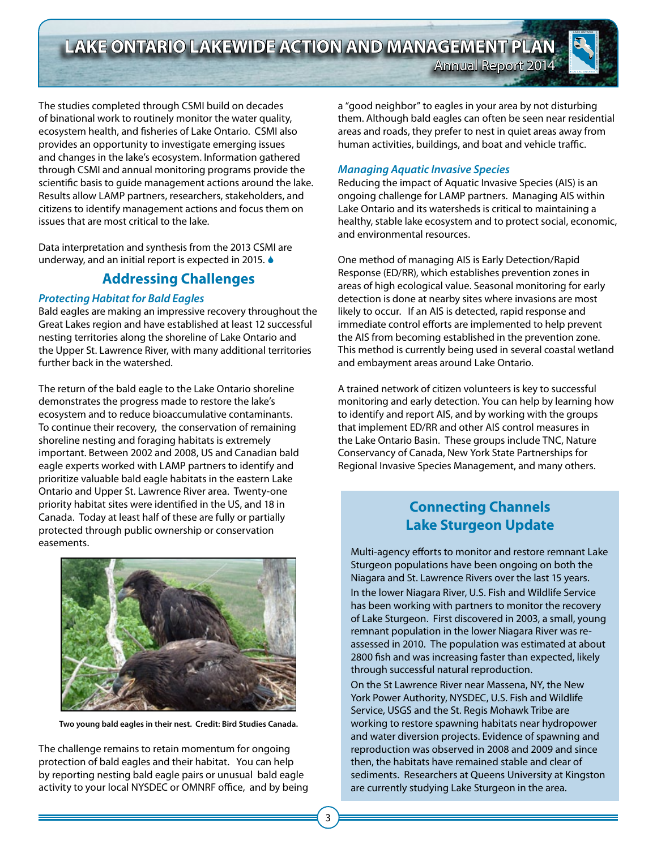**LAKE ONTARIO LAKEWIDE ACTION AND MANAGEMENT PLAN**

Annual Report 2014

LAKEWIDE ACTION AND MANAGEMENT PLAN

LAKE ONTARIO

DU LAC ONTARIO

LE PLAN D'AC TION E T D'AMÈNAGEMENT PANLACUSTRE

The studies completed through CSMI build on decades of binational work to routinely monitor the water quality, ecosystem health, and fisheries of Lake Ontario. CSMI also provides an opportunity to investigate emerging issues and changes in the lake's ecosystem. Information gathered through CSMI and annual monitoring programs provide the scientific basis to guide management actions around the lake. Results allow LAMP partners, researchers, stakeholders, and citizens to identify management actions and focus them on issues that are most critical to the lake.

Data interpretation and synthesis from the 2013 CSMI are underway, and an initial report is expected in 2015.  $\bullet$ 

## **Addressing Challenges**

#### *Protecting Habitat for Bald Eagles*

Bald eagles are making an impressive recovery throughout the Great Lakes region and have established at least 12 successful nesting territories along the shoreline of Lake Ontario and the Upper St. Lawrence River, with many additional territories further back in the watershed.

The return of the bald eagle to the Lake Ontario shoreline demonstrates the progress made to restore the lake's ecosystem and to reduce bioaccumulative contaminants. To continue their recovery, the conservation of remaining shoreline nesting and foraging habitats is extremely important. Between 2002 and 2008, US and Canadian bald eagle experts worked with LAMP partners to identify and prioritize valuable bald eagle habitats in the eastern Lake Ontario and Upper St. Lawrence River area. Twenty-one priority habitat sites were identified in the US, and 18 in Canada. Today at least half of these are fully or partially protected through public ownership or conservation easements.



**Two young bald eagles in their nest. Credit: Bird Studies Canada.**

The challenge remains to retain momentum for ongoing protection of bald eagles and their habitat. You can help by reporting nesting bald eagle pairs or unusual bald eagle activity to your local NYSDEC or OMNRF office, and by being a "good neighbor" to eagles in your area by not disturbing them. Although bald eagles can often be seen near residential areas and roads, they prefer to nest in quiet areas away from human activities, buildings, and boat and vehicle traffic.

#### *Managing Aquatic Invasive Species*

Reducing the impact of Aquatic Invasive Species (AIS) is an ongoing challenge for LAMP partners. Managing AIS within Lake Ontario and its watersheds is critical to maintaining a healthy, stable lake ecosystem and to protect social, economic, and environmental resources.

One method of managing AIS is Early Detection/Rapid Response (ED/RR), which establishes prevention zones in areas of high ecological value. Seasonal monitoring for early detection is done at nearby sites where invasions are most likely to occur. If an AIS is detected, rapid response and immediate control efforts are implemented to help prevent the AIS from becoming established in the prevention zone. This method is currently being used in several coastal wetland and embayment areas around Lake Ontario.

A trained network of citizen volunteers is key to successful monitoring and early detection. You can help by learning how to identify and report AIS, and by working with the groups that implement ED/RR and other AIS control measures in the Lake Ontario Basin. These groups include TNC, Nature Conservancy of Canada, New York State Partnerships for Regional Invasive Species Management, and many others.

# **Connecting Channels Lake Sturgeon Update**

Multi-agency efforts to monitor and restore remnant Lake Sturgeon populations have been ongoing on both the Niagara and St. Lawrence Rivers over the last 15 years. In the lower Niagara River, U.S. Fish and Wildlife Service has been working with partners to monitor the recovery of Lake Sturgeon. First discovered in 2003, a small, young remnant population in the lower Niagara River was reassessed in 2010. The population was estimated at about 2800 fish and was increasing faster than expected, likely through successful natural reproduction. On the St Lawrence River near Massena, NY, the New York Power Authority, NYSDEC, U.S. Fish and Wildlife Service, USGS and the St. Regis Mohawk Tribe are working to restore spawning habitats near hydropower and water diversion projects. Evidence of spawning and reproduction was observed in 2008 and 2009 and since then, the habitats have remained stable and clear of sediments. Researchers at Queens University at Kingston

are currently studying Lake Sturgeon in the area.